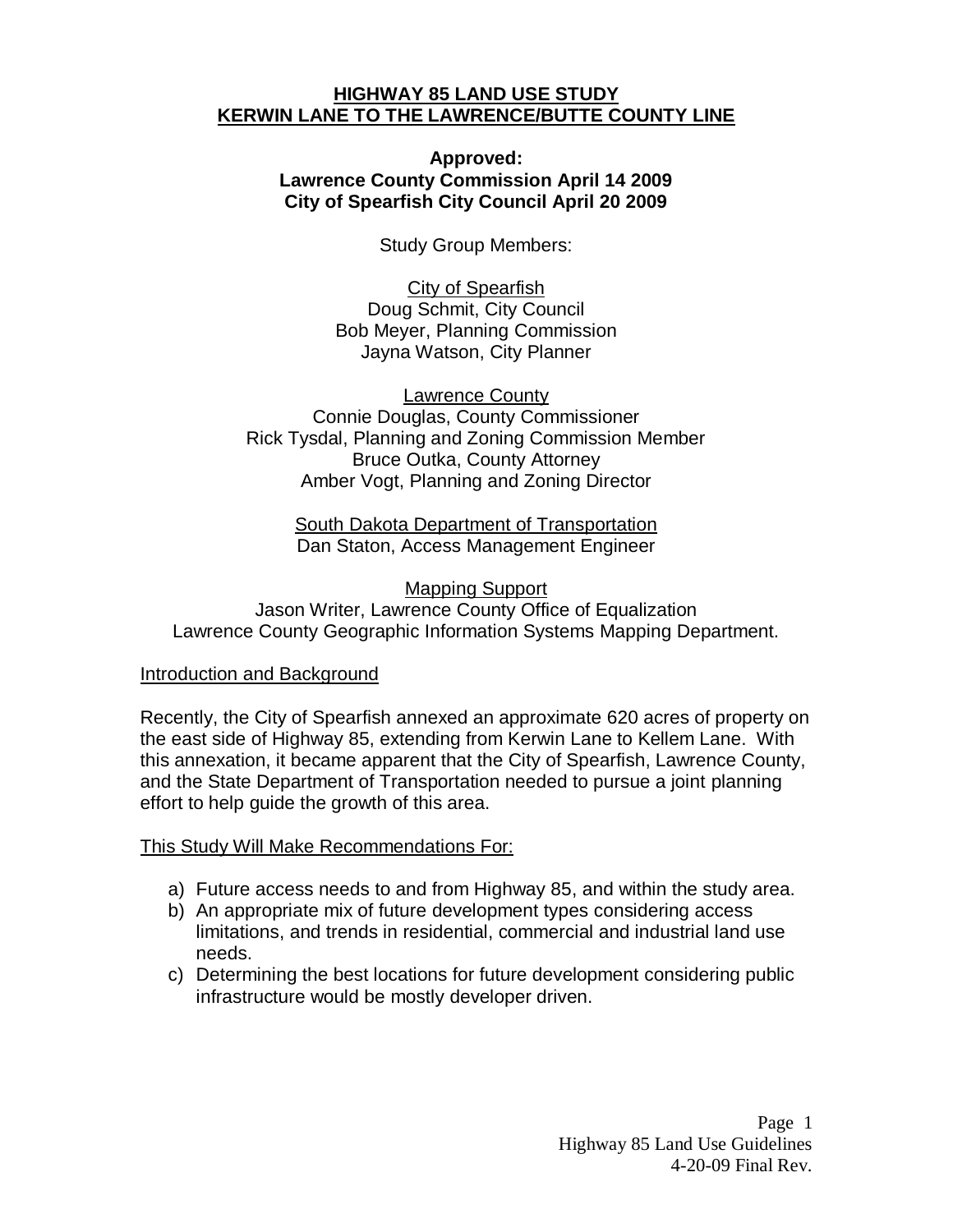#### **HIGHWAY 85 LAND USE STUDY KERWIN LANE TO THE LAWRENCE/BUTTE COUNTY LINE**

### **Approved: Lawrence County Commission April 14 2009 City of Spearfish City Council April 20 2009**

Study Group Members:

City of Spearfish Doug Schmit, City Council Bob Meyer, Planning Commission Jayna Watson, City Planner

Lawrence County Connie Douglas, County Commissioner Rick Tysdal, Planning and Zoning Commission Member Bruce Outka, County Attorney Amber Vogt, Planning and Zoning Director

> South Dakota Department of Transportation Dan Staton, Access Management Engineer

Mapping Support Jason Writer, Lawrence County Office of Equalization Lawrence County Geographic Information Systems Mapping Department.

### Introduction and Background

Recently, the City of Spearfish annexed an approximate 620 acres of property on the east side of Highway 85, extending from Kerwin Lane to Kellem Lane. With this annexation, it became apparent that the City of Spearfish, Lawrence County, and the State Department of Transportation needed to pursue a joint planning effort to help guide the growth of this area.

# This Study Will Make Recommendations For:

- a) Future access needs to and from Highway 85, and within the study area.
- b) An appropriate mix of future development types considering access limitations, and trends in residential, commercial and industrial land use needs.
- c) Determining the best locations for future development considering public infrastructure would be mostly developer driven.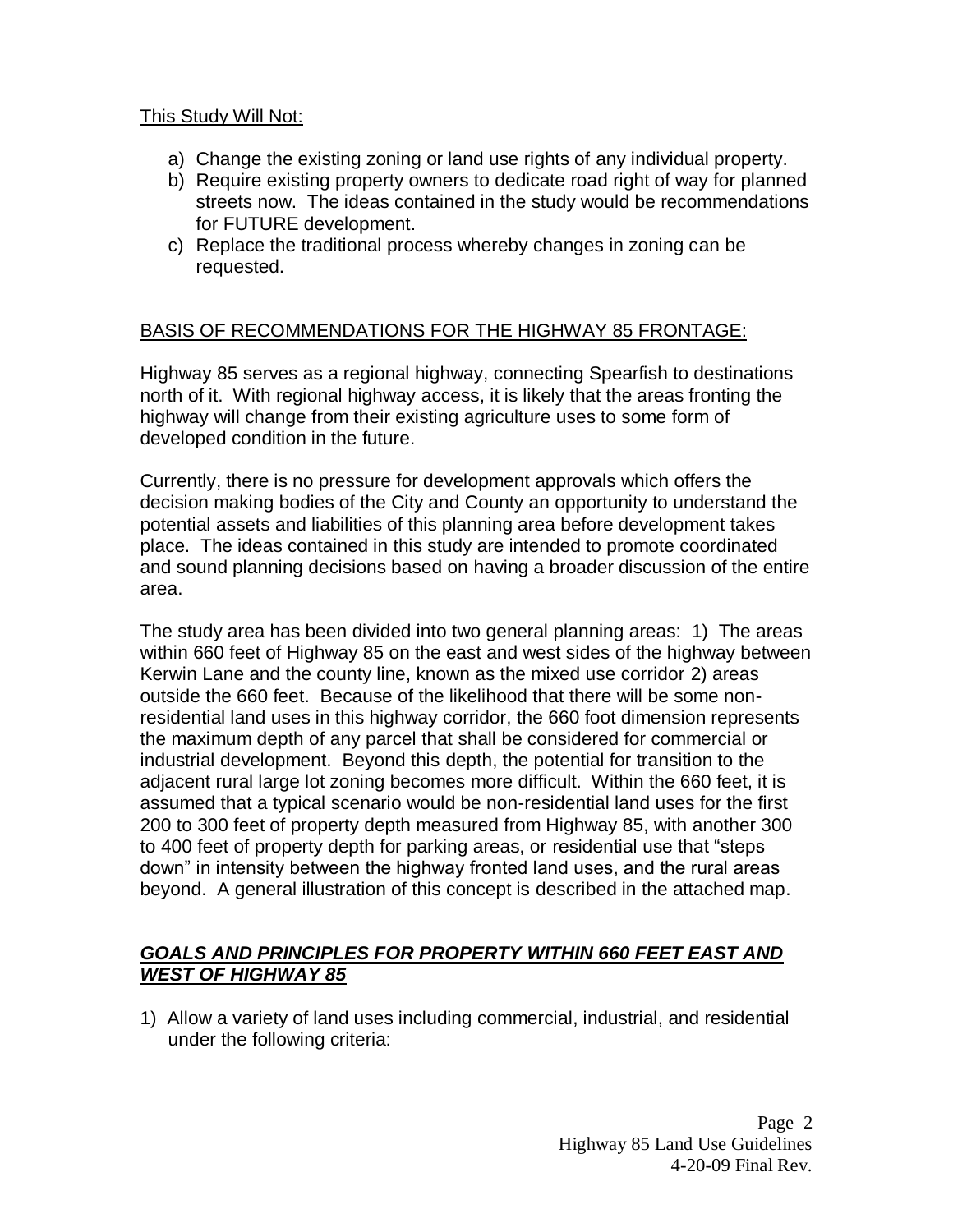### This Study Will Not:

- a) Change the existing zoning or land use rights of any individual property.
- b) Require existing property owners to dedicate road right of way for planned streets now. The ideas contained in the study would be recommendations for FUTURE development.
- c) Replace the traditional process whereby changes in zoning can be requested.

# BASIS OF RECOMMENDATIONS FOR THE HIGHWAY 85 FRONTAGE:

Highway 85 serves as a regional highway, connecting Spearfish to destinations north of it. With regional highway access, it is likely that the areas fronting the highway will change from their existing agriculture uses to some form of developed condition in the future.

Currently, there is no pressure for development approvals which offers the decision making bodies of the City and County an opportunity to understand the potential assets and liabilities of this planning area before development takes place. The ideas contained in this study are intended to promote coordinated and sound planning decisions based on having a broader discussion of the entire area.

The study area has been divided into two general planning areas: 1) The areas within 660 feet of Highway 85 on the east and west sides of the highway between Kerwin Lane and the county line, known as the mixed use corridor 2) areas outside the 660 feet. Because of the likelihood that there will be some nonresidential land uses in this highway corridor, the 660 foot dimension represents the maximum depth of any parcel that shall be considered for commercial or industrial development. Beyond this depth, the potential for transition to the adjacent rural large lot zoning becomes more difficult. Within the 660 feet, it is assumed that a typical scenario would be non-residential land uses for the first 200 to 300 feet of property depth measured from Highway 85, with another 300 to 400 feet of property depth for parking areas, or residential use that "steps down" in intensity between the highway fronted land uses, and the rural areas beyond. A general illustration of this concept is described in the attached map.

## *GOALS AND PRINCIPLES FOR PROPERTY WITHIN 660 FEET EAST AND WEST OF HIGHWAY 85*

1) Allow a variety of land uses including commercial, industrial, and residential under the following criteria: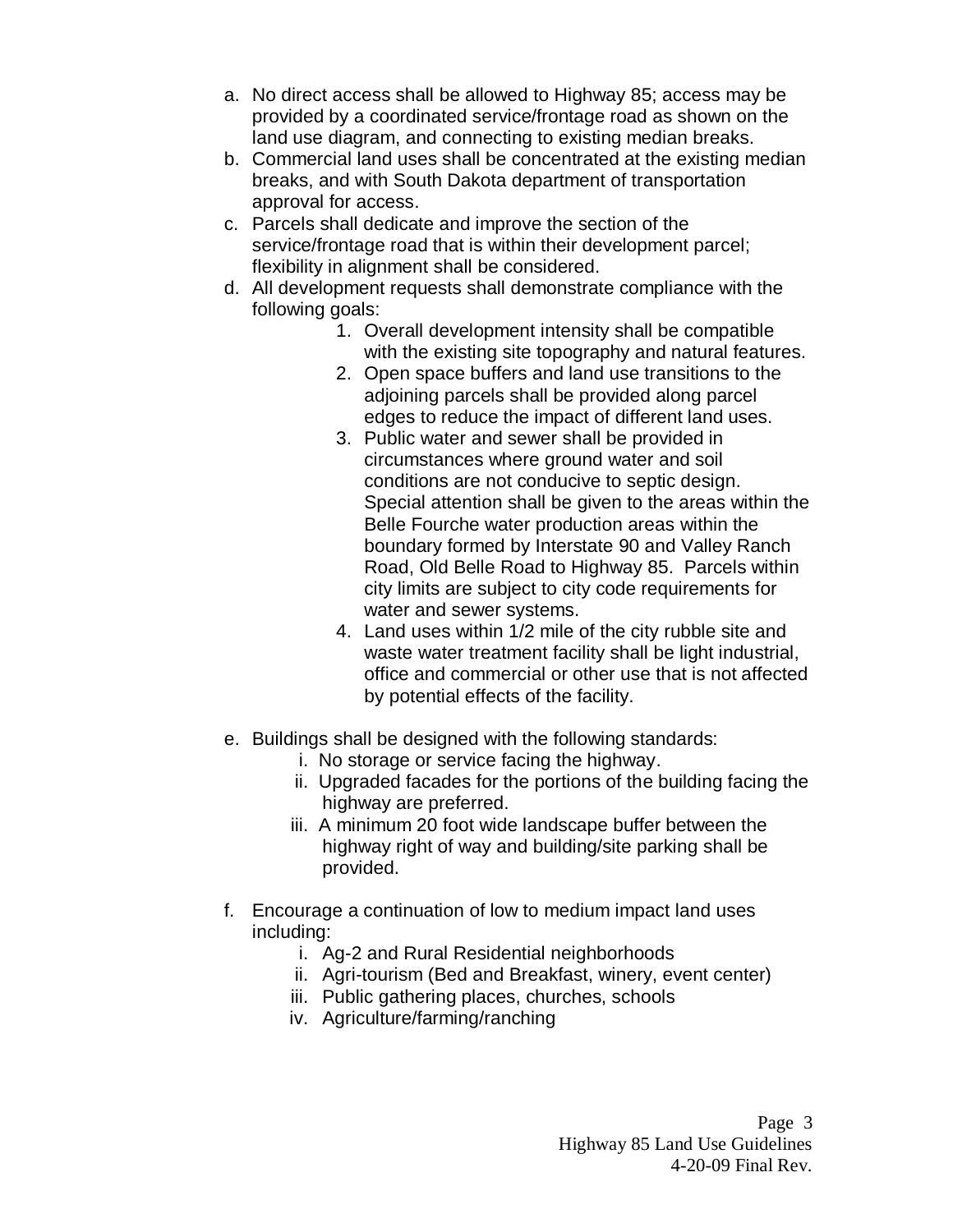- a. No direct access shall be allowed to Highway 85; access may be provided by a coordinated service/frontage road as shown on the land use diagram, and connecting to existing median breaks.
- b. Commercial land uses shall be concentrated at the existing median breaks, and with South Dakota department of transportation approval for access.
- c. Parcels shall dedicate and improve the section of the service/frontage road that is within their development parcel; flexibility in alignment shall be considered.
- d. All development requests shall demonstrate compliance with the following goals:
	- 1. Overall development intensity shall be compatible with the existing site topography and natural features.
	- 2. Open space buffers and land use transitions to the adjoining parcels shall be provided along parcel edges to reduce the impact of different land uses.
	- 3. Public water and sewer shall be provided in circumstances where ground water and soil conditions are not conducive to septic design. Special attention shall be given to the areas within the Belle Fourche water production areas within the boundary formed by Interstate 90 and Valley Ranch Road, Old Belle Road to Highway 85. Parcels within city limits are subject to city code requirements for water and sewer systems.
	- 4. Land uses within 1/2 mile of the city rubble site and waste water treatment facility shall be light industrial, office and commercial or other use that is not affected by potential effects of the facility.
- e. Buildings shall be designed with the following standards:
	- i. No storage or service facing the highway.
	- ii. Upgraded facades for the portions of the building facing the highway are preferred.
	- iii. A minimum 20 foot wide landscape buffer between the highway right of way and building/site parking shall be provided.
- f. Encourage a continuation of low to medium impact land uses including:
	- i. Ag-2 and Rural Residential neighborhoods
	- ii. Agri-tourism (Bed and Breakfast, winery, event center)
	- iii. Public gathering places, churches, schools
	- iv. Agriculture/farming/ranching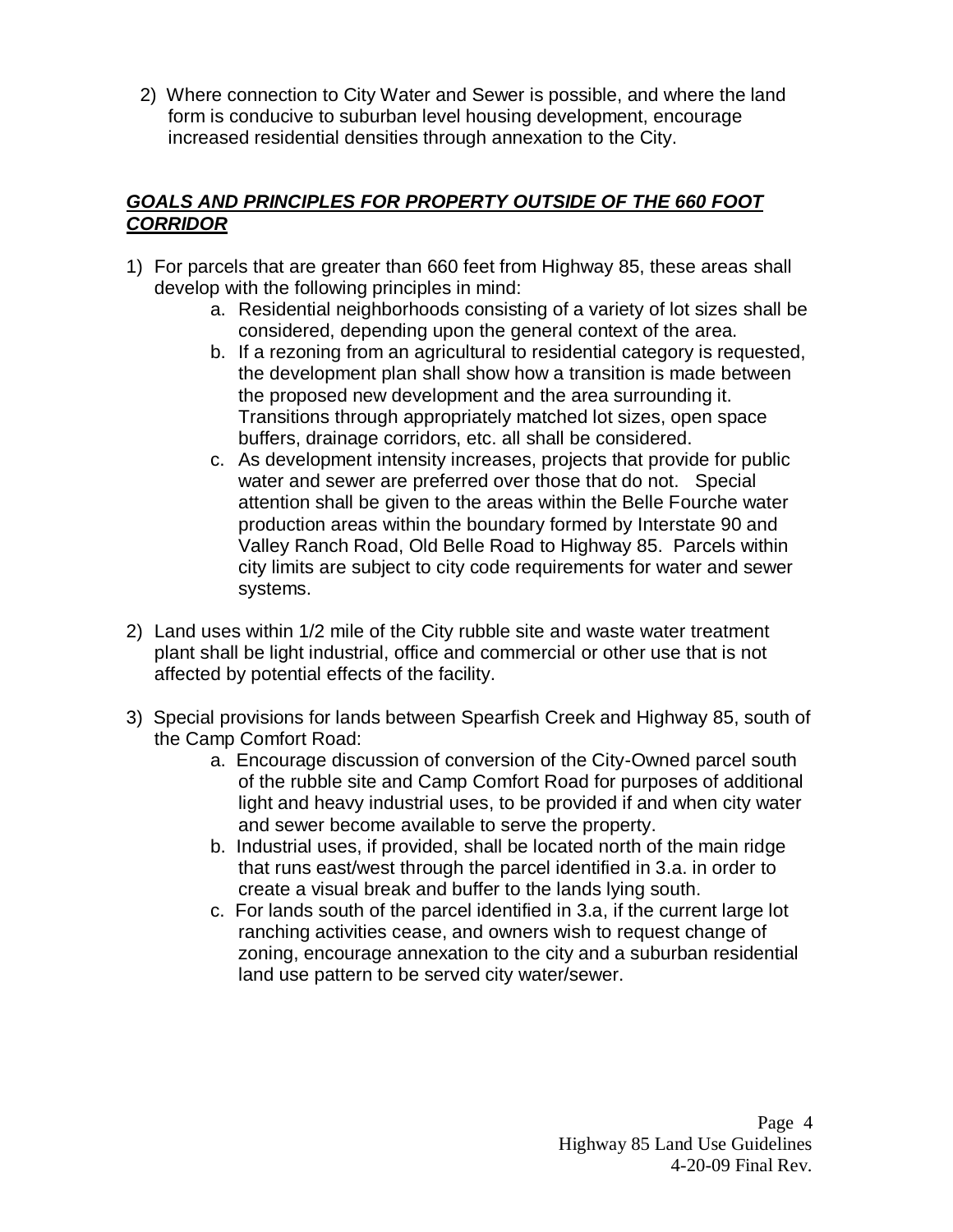2) Where connection to City Water and Sewer is possible, and where the land form is conducive to suburban level housing development, encourage increased residential densities through annexation to the City.

# *GOALS AND PRINCIPLES FOR PROPERTY OUTSIDE OF THE 660 FOOT CORRIDOR*

- 1) For parcels that are greater than 660 feet from Highway 85, these areas shall develop with the following principles in mind:
	- a. Residential neighborhoods consisting of a variety of lot sizes shall be considered, depending upon the general context of the area.
	- b. If a rezoning from an agricultural to residential category is requested, the development plan shall show how a transition is made between the proposed new development and the area surrounding it. Transitions through appropriately matched lot sizes, open space buffers, drainage corridors, etc. all shall be considered.
	- c. As development intensity increases, projects that provide for public water and sewer are preferred over those that do not. Special attention shall be given to the areas within the Belle Fourche water production areas within the boundary formed by Interstate 90 and Valley Ranch Road, Old Belle Road to Highway 85. Parcels within city limits are subject to city code requirements for water and sewer systems.
- 2) Land uses within 1/2 mile of the City rubble site and waste water treatment plant shall be light industrial, office and commercial or other use that is not affected by potential effects of the facility.
- 3) Special provisions for lands between Spearfish Creek and Highway 85, south of the Camp Comfort Road:
	- a. Encourage discussion of conversion of the City-Owned parcel south of the rubble site and Camp Comfort Road for purposes of additional light and heavy industrial uses, to be provided if and when city water and sewer become available to serve the property.
	- b. Industrial uses, if provided, shall be located north of the main ridge that runs east/west through the parcel identified in 3.a. in order to create a visual break and buffer to the lands lying south.
	- c. For lands south of the parcel identified in 3.a, if the current large lot ranching activities cease, and owners wish to request change of zoning, encourage annexation to the city and a suburban residential land use pattern to be served city water/sewer.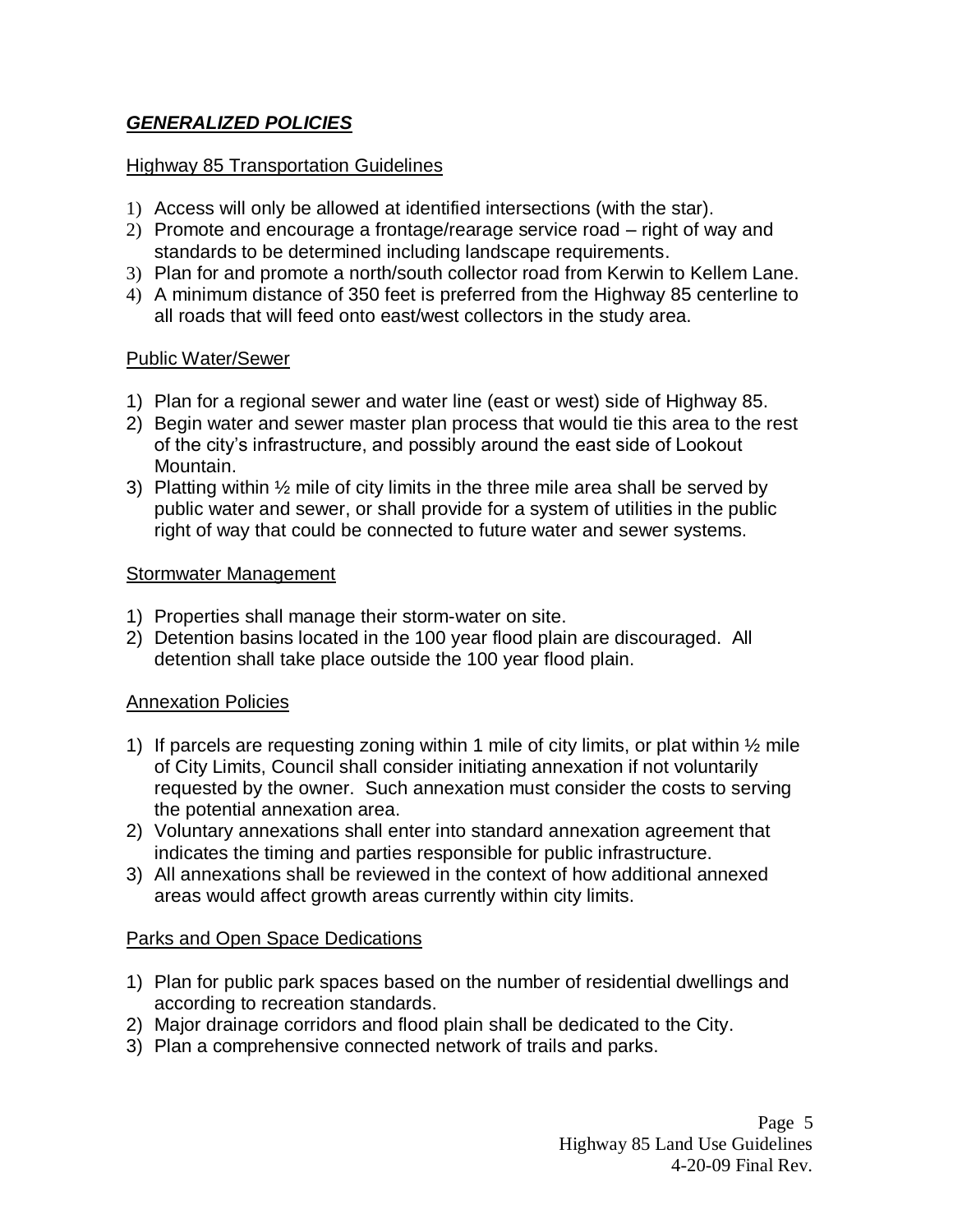# *GENERALIZED POLICIES*

### **Highway 85 Transportation Guidelines**

- 1) Access will only be allowed at identified intersections (with the star).
- 2) Promote and encourage a frontage/rearage service road right of way and standards to be determined including landscape requirements.
- 3) Plan for and promote a north/south collector road from Kerwin to Kellem Lane.
- 4) A minimum distance of 350 feet is preferred from the Highway 85 centerline to all roads that will feed onto east/west collectors in the study area.

### Public Water/Sewer

- 1) Plan for a regional sewer and water line (east or west) side of Highway 85.
- 2) Begin water and sewer master plan process that would tie this area to the rest of the city's infrastructure, and possibly around the east side of Lookout Mountain.
- 3) Platting within  $\frac{1}{2}$  mile of city limits in the three mile area shall be served by public water and sewer, or shall provide for a system of utilities in the public right of way that could be connected to future water and sewer systems.

### Stormwater Management

- 1) Properties shall manage their storm-water on site.
- 2) Detention basins located in the 100 year flood plain are discouraged. All detention shall take place outside the 100 year flood plain.

### Annexation Policies

- 1) If parcels are requesting zoning within 1 mile of city limits, or plat within  $\frac{1}{2}$  mile of City Limits, Council shall consider initiating annexation if not voluntarily requested by the owner. Such annexation must consider the costs to serving the potential annexation area.
- 2) Voluntary annexations shall enter into standard annexation agreement that indicates the timing and parties responsible for public infrastructure.
- 3) All annexations shall be reviewed in the context of how additional annexed areas would affect growth areas currently within city limits.

### Parks and Open Space Dedications

- 1) Plan for public park spaces based on the number of residential dwellings and according to recreation standards.
- 2) Major drainage corridors and flood plain shall be dedicated to the City.
- 3) Plan a comprehensive connected network of trails and parks.